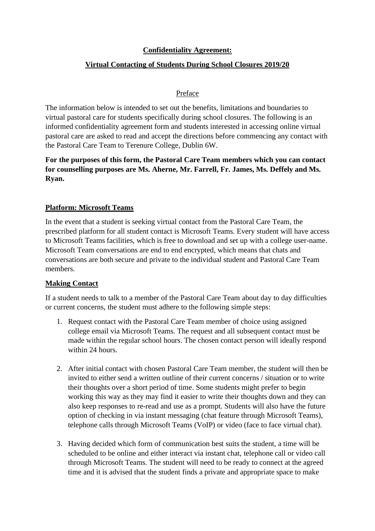## **Confidentiality Agreement:**

# **Virtual Contacting of Students During School Closures 2019/20**

#### Preface

The information below is intended to set out the benefits, limitations and boundaries to virtual pastoral care for students specifically during school closures. The following is an informed confidentiality agreement form and students interested in accessing online virtual pastoral care are asked to read and accept the directions before commencing any contact with the Pastoral Care Team to Terenure College, Dublin 6W.

# **For the purposes of this form, the Pastoral Care Team members which you can contact for counselling purposes are Ms. Aherne, Mr. Farrell, Fr. James, Ms. Deffely and Ms. Ryan.**

## **Platform: Microsoft Teams**

In the event that a student is seeking virtual contact from the Pastoral Care Team, the prescribed platform for all student contact is Microsoft Teams. Every student will have access to Microsoft Teams facilities, which is free to download and set up with a college user-name. Microsoft Team conversations are end to end encrypted, which means that chats and conversations are both secure and private to the individual student and Pastoral Care Team members.

## **Making Contact**

If a student needs to talk to a member of the Pastoral Care Team about day to day difficulties or current concerns, the student must adhere to the following simple steps:

- 1. Request contact with the Pastoral Care Team member of choice using assigned college email via Microsoft Teams. The request and all subsequent contact must be made within the regular school hours. The chosen contact person will ideally respond within 24 hours.
- 2. After initial contact with chosen Pastoral Care Team member, the student will then be invited to either send a written outline of their current concerns / situation or to write their thoughts over a short period of time. Some students might prefer to begin working this way as they may find it easier to write their thoughts down and they can also keep responses to re-read and use as a prompt. Students will also have the future option of checking in via instant messaging (chat feature through Microsoft Teams), telephone calls through Microsoft Teams (VoIP) or video (face to face virtual chat).
- 3. Having decided which form of communication best suits the student, a time will be scheduled to be online and either interact via instant chat, telephone call or video call through Microsoft Teams. The student will need to be ready to connect at the agreed time and it is advised that the student finds a private and appropriate space to make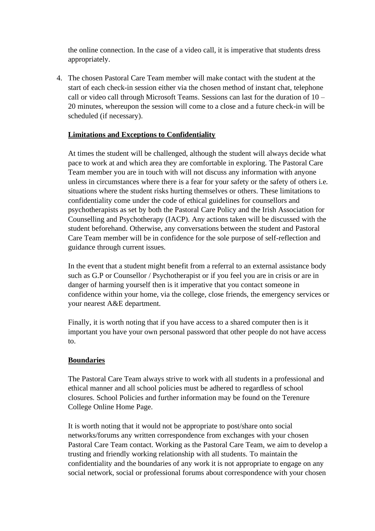the online connection. In the case of a video call, it is imperative that students dress appropriately.

4. The chosen Pastoral Care Team member will make contact with the student at the start of each check-in session either via the chosen method of instant chat, telephone call or video call through Microsoft Teams. Sessions can last for the duration of 10 – 20 minutes, whereupon the session will come to a close and a future check-in will be scheduled (if necessary).

## **Limitations and Exceptions to Confidentiality**

At times the student will be challenged, although the student will always decide what pace to work at and which area they are comfortable in exploring. The Pastoral Care Team member you are in touch with will not discuss any information with anyone unless in circumstances where there is a fear for your safety or the safety of others i.e. situations where the student risks hurting themselves or others. These limitations to confidentiality come under the code of ethical guidelines for counsellors and psychotherapists as set by both the Pastoral Care Policy and the Irish Association for Counselling and Psychotherapy (IACP). Any actions taken will be discussed with the student beforehand. Otherwise, any conversations between the student and Pastoral Care Team member will be in confidence for the sole purpose of self-reflection and guidance through current issues.

In the event that a student might benefit from a referral to an external assistance body such as G.P or Counsellor / Psychotherapist or if you feel you are in crisis or are in danger of harming yourself then is it imperative that you contact someone in confidence within your home, via the college, close friends, the emergency services or your nearest A&E department.

Finally, it is worth noting that if you have access to a shared computer then is it important you have your own personal password that other people do not have access to.

## **Boundaries**

The Pastoral Care Team always strive to work with all students in a professional and ethical manner and all school policies must be adhered to regardless of school closures. School Policies and further information may be found on the Terenure College Online Home Page.

It is worth noting that it would not be appropriate to post/share onto social networks/forums any written correspondence from exchanges with your chosen Pastoral Care Team contact. Working as the Pastoral Care Team, we aim to develop a trusting and friendly working relationship with all students. To maintain the confidentiality and the boundaries of any work it is not appropriate to engage on any social network, social or professional forums about correspondence with your chosen